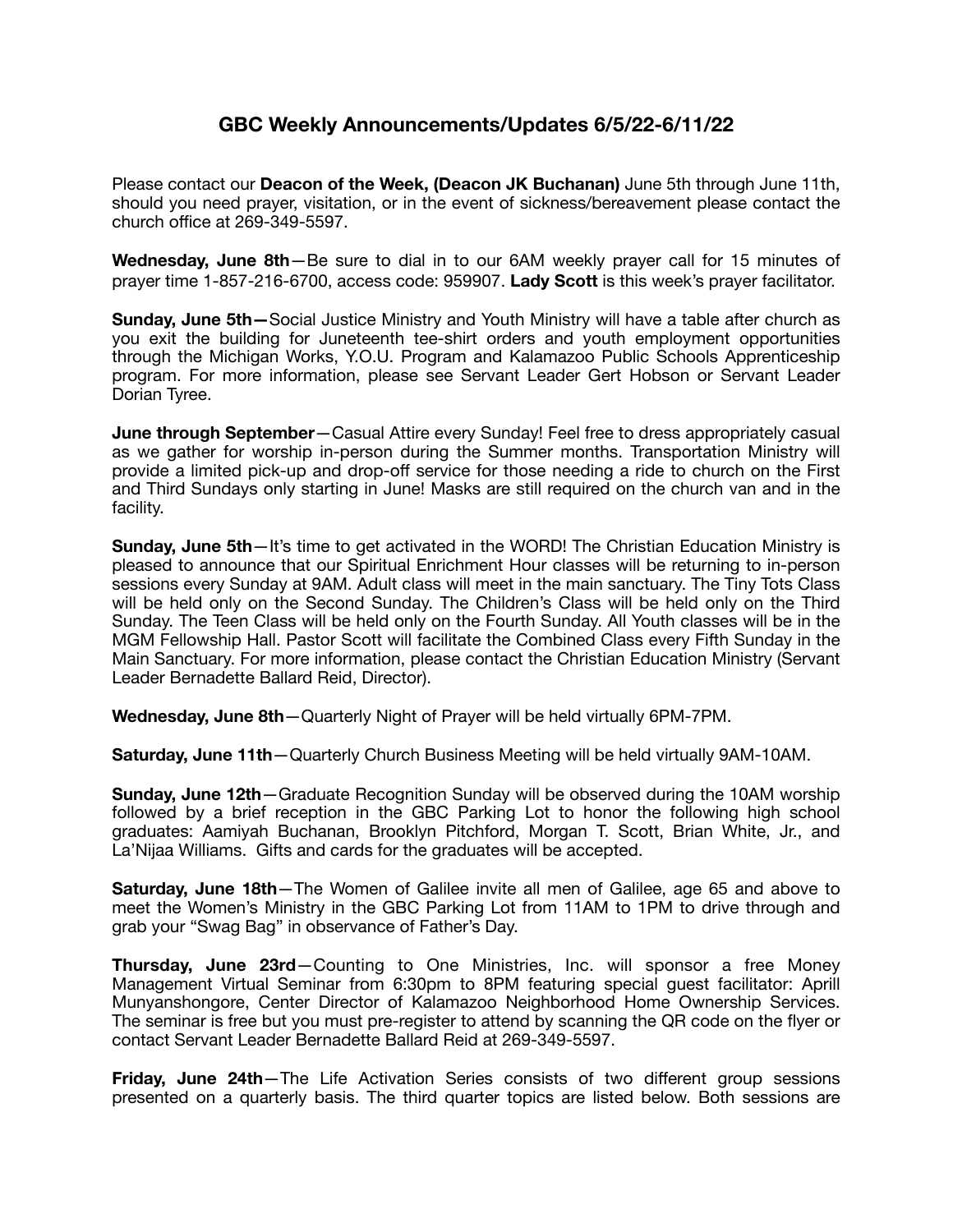## **GBC Weekly Announcements/Updates 6/5/22-6/11/22**

Please contact our **Deacon of the Week, (Deacon JK Buchanan)** June 5th through June 11th, should you need prayer, visitation, or in the event of sickness/bereavement please contact the church office at 269-349-5597.

**Wednesday, June 8th**—Be sure to dial in to our 6AM weekly prayer call for 15 minutes of prayer time 1-857-216-6700, access code: 959907. **Lady Scott** is this week's prayer facilitator.

**Sunday, June 5th—**Social Justice Ministry and Youth Ministry will have a table after church as you exit the building for Juneteenth tee-shirt orders and youth employment opportunities through the Michigan Works, Y.O.U. Program and Kalamazoo Public Schools Apprenticeship program. For more information, please see Servant Leader Gert Hobson or Servant Leader Dorian Tyree.

**June through September**—Casual Attire every Sunday! Feel free to dress appropriately casual as we gather for worship in-person during the Summer months. Transportation Ministry will provide a limited pick-up and drop-off service for those needing a ride to church on the First and Third Sundays only starting in June! Masks are still required on the church van and in the facility.

**Sunday, June 5th**—It's time to get activated in the WORD! The Christian Education Ministry is pleased to announce that our Spiritual Enrichment Hour classes will be returning to in-person sessions every Sunday at 9AM. Adult class will meet in the main sanctuary. The Tiny Tots Class will be held only on the Second Sunday. The Children's Class will be held only on the Third Sunday. The Teen Class will be held only on the Fourth Sunday. All Youth classes will be in the MGM Fellowship Hall. Pastor Scott will facilitate the Combined Class every Fifth Sunday in the Main Sanctuary. For more information, please contact the Christian Education Ministry (Servant Leader Bernadette Ballard Reid, Director).

**Wednesday, June 8th**—Quarterly Night of Prayer will be held virtually 6PM-7PM.

**Saturday, June 11th**—Quarterly Church Business Meeting will be held virtually 9AM-10AM.

**Sunday, June 12th**—Graduate Recognition Sunday will be observed during the 10AM worship followed by a brief reception in the GBC Parking Lot to honor the following high school graduates: Aamiyah Buchanan, Brooklyn Pitchford, Morgan T. Scott, Brian White, Jr., and La'Nijaa Williams. Gifts and cards for the graduates will be accepted.

**Saturday, June 18th**—The Women of Galilee invite all men of Galilee, age 65 and above to meet the Women's Ministry in the GBC Parking Lot from 11AM to 1PM to drive through and grab your "Swag Bag" in observance of Father's Day.

**Thursday, June 23rd**—Counting to One Ministries, Inc. will sponsor a free Money Management Virtual Seminar from 6:30pm to 8PM featuring special guest facilitator: Aprill Munyanshongore, Center Director of Kalamazoo Neighborhood Home Ownership Services. The seminar is free but you must pre-register to attend by scanning the QR code on the flyer or contact Servant Leader Bernadette Ballard Reid at 269-349-5597.

**Friday, June 24th**—The Life Activation Series consists of two different group sessions presented on a quarterly basis. The third quarter topics are listed below. Both sessions are